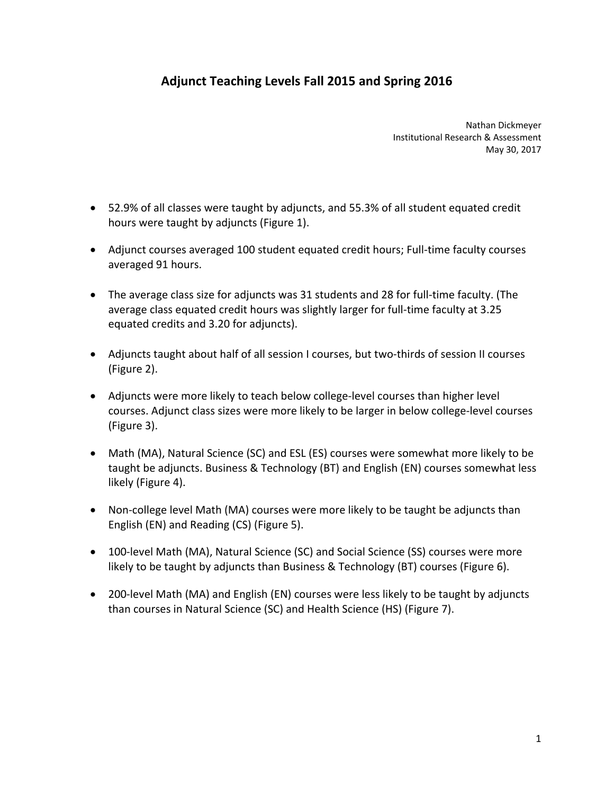## **Adjunct Teaching Levels Fall 2015 and Spring 2016**

 Nathan Dickmeyer Institutional Research & Assessment May 30, 2017

- 52.9% of all classes were taught by adjuncts, and 55.3% of all student equated credit hours were taught by adjuncts (Figure 1).
- Adjunct courses averaged 100 student equated credit hours; Full-time faculty courses averaged 91 hours.
- The average class size for adjuncts was 31 students and 28 for full-time faculty. (The average class equated credit hours was slightly larger for full‐time faculty at 3.25 equated credits and 3.20 for adjuncts).
- Adjuncts taught about half of all session I courses, but two-thirds of session II courses (Figure 2).
- Adjuncts were more likely to teach below college-level courses than higher level courses. Adjunct class sizes were more likely to be larger in below college‐level courses (Figure 3).
- Math (MA), Natural Science (SC) and ESL (ES) courses were somewhat more likely to be taught be adjuncts. Business & Technology (BT) and English (EN) courses somewhat less likely (Figure 4).
- Non-college level Math (MA) courses were more likely to be taught be adjuncts than English (EN) and Reading (CS) (Figure 5).
- 100-level Math (MA), Natural Science (SC) and Social Science (SS) courses were more likely to be taught by adjuncts than Business & Technology (BT) courses (Figure 6).
- 200-level Math (MA) and English (EN) courses were less likely to be taught by adjuncts than courses in Natural Science (SC) and Health Science (HS) (Figure 7).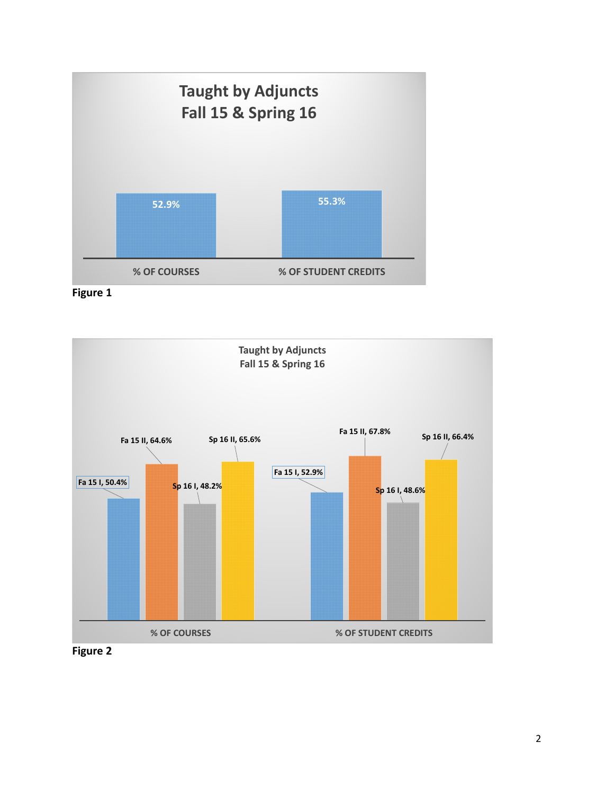





 **Figure 2**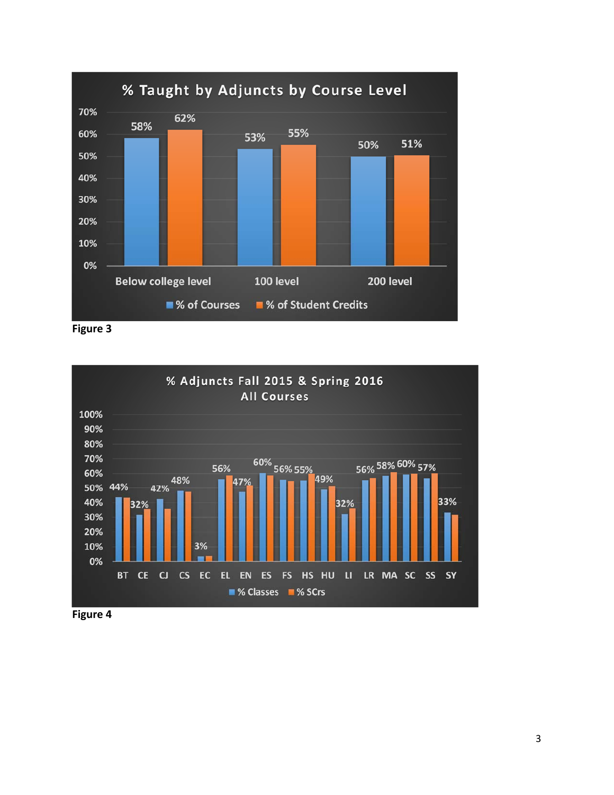





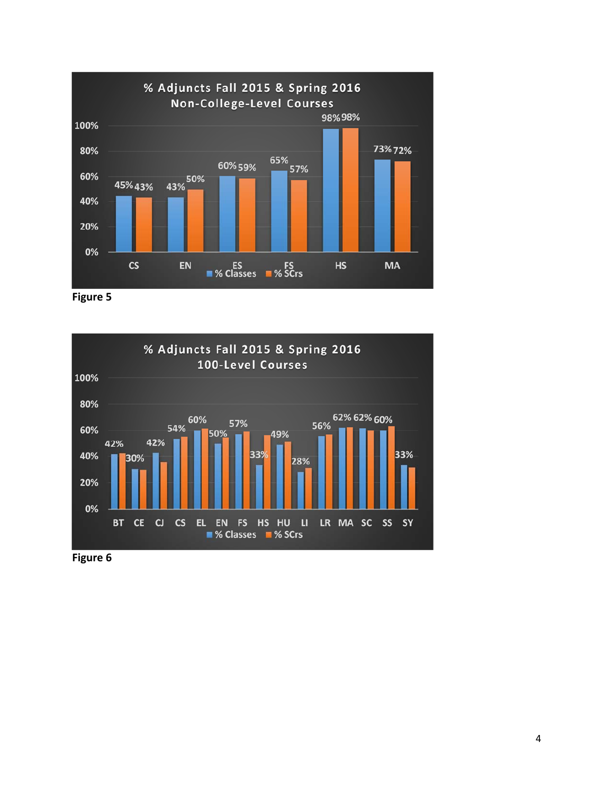

 **Figure 5**



 **Figure 6**